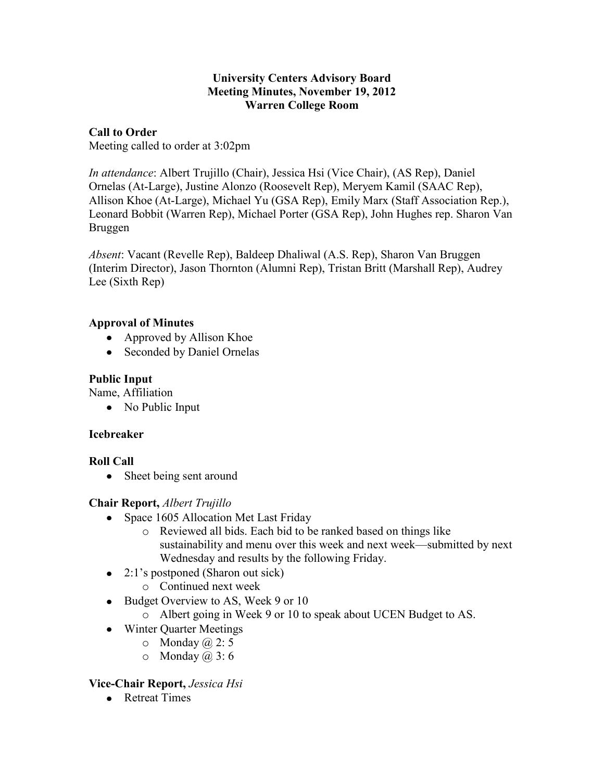#### **University Centers Advisory Board Meeting Minutes, November 19, 2012 Warren College Room**

### **Call to Order**

Meeting called to order at 3:02pm

*In attendance*: Albert Trujillo (Chair), Jessica Hsi (Vice Chair), (AS Rep), Daniel Ornelas (At-Large), Justine Alonzo (Roosevelt Rep), Meryem Kamil (SAAC Rep), Allison Khoe (At-Large), Michael Yu (GSA Rep), Emily Marx (Staff Association Rep.), Leonard Bobbit (Warren Rep), Michael Porter (GSA Rep), John Hughes rep. Sharon Van Bruggen

*Absent*: Vacant (Revelle Rep), Baldeep Dhaliwal (A.S. Rep), Sharon Van Bruggen (Interim Director), Jason Thornton (Alumni Rep), Tristan Britt (Marshall Rep), Audrey Lee (Sixth Rep)

# **Approval of Minutes**

- Approved by Allison Khoe
- Seconded by Daniel Ornelas

# **Public Input**

Name, Affiliation

• No Public Input

# **Icebreaker**

# **Roll Call**

• Sheet being sent around

# **Chair Report,** *Albert Trujillo*

- Space 1605 Allocation Met Last Friday
	- o Reviewed all bids. Each bid to be ranked based on things like sustainability and menu over this week and next week—submitted by next Wednesday and results by the following Friday.
- $\bullet$  2:1's postponed (Sharon out sick)
	- o Continued next week
- Budget Overview to AS, Week 9 or 10
	- o Albert going in Week 9 or 10 to speak about UCEN Budget to AS.
- Winter Quarter Meetings
	- $\circ$  Monday  $(a, 2: 5)$
	- $\circ$  Monday  $(a, 3: 6)$

# **Vice-Chair Report,** *Jessica Hsi*

• Retreat Times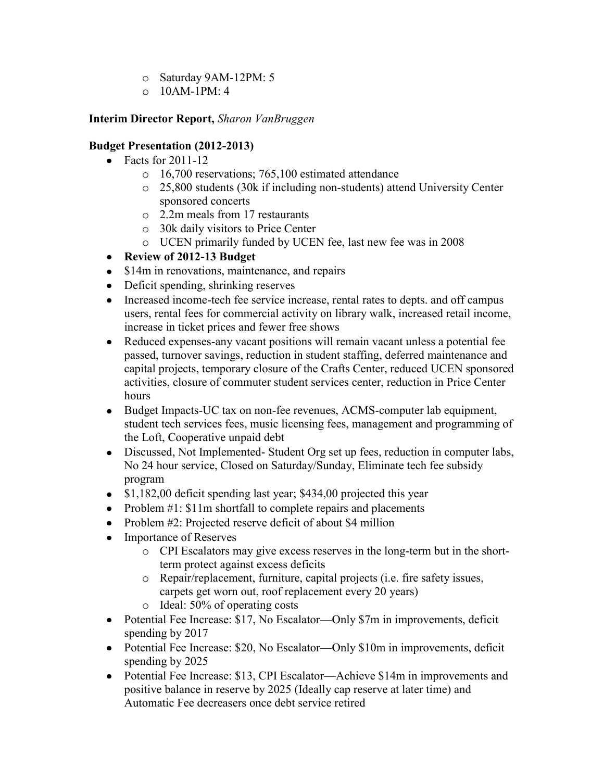- o Saturday 9AM-12PM: 5
- $\circ$  10AM-1PM $\cdot$  4

# **Interim Director Report,** *Sharon VanBruggen*

### **Budget Presentation (2012-2013)**

- $\bullet$  Facts for 2011-12
	- o 16,700 reservations; 765,100 estimated attendance
	- o 25,800 students (30k if including non-students) attend University Center sponsored concerts
	- o 2.2m meals from 17 restaurants
	- o 30k daily visitors to Price Center
	- o UCEN primarily funded by UCEN fee, last new fee was in 2008
- **Review of 2012-13 Budget**
- \$14m in renovations, maintenance, and repairs
- Deficit spending, shrinking reserves
- Increased income-tech fee service increase, rental rates to depts. and off campus users, rental fees for commercial activity on library walk, increased retail income, increase in ticket prices and fewer free shows
- Reduced expenses-any vacant positions will remain vacant unless a potential fee passed, turnover savings, reduction in student staffing, deferred maintenance and capital projects, temporary closure of the Crafts Center, reduced UCEN sponsored activities, closure of commuter student services center, reduction in Price Center hours
- Budget Impacts-UC tax on non-fee revenues, ACMS-computer lab equipment, student tech services fees, music licensing fees, management and programming of the Loft, Cooperative unpaid debt
- Discussed, Not Implemented- Student Org set up fees, reduction in computer labs, No 24 hour service, Closed on Saturday/Sunday, Eliminate tech fee subsidy program
- $\bullet$  \$1,182,00 deficit spending last year; \$434,00 projected this year
- Problem  $#1$ : \$11m shortfall to complete repairs and placements
- Problem #2: Projected reserve deficit of about \$4 million
- Importance of Reserves
	- o CPI Escalators may give excess reserves in the long-term but in the shortterm protect against excess deficits
	- o Repair/replacement, furniture, capital projects (i.e. fire safety issues, carpets get worn out, roof replacement every 20 years)
	- o Ideal: 50% of operating costs
- Potential Fee Increase: \$17, No Escalator—Only \$7m in improvements, deficit spending by 2017
- Potential Fee Increase: \$20, No Escalator—Only \$10m in improvements, deficit spending by 2025
- Potential Fee Increase: \$13, CPI Escalator—Achieve \$14m in improvements and positive balance in reserve by 2025 (Ideally cap reserve at later time) and Automatic Fee decreasers once debt service retired